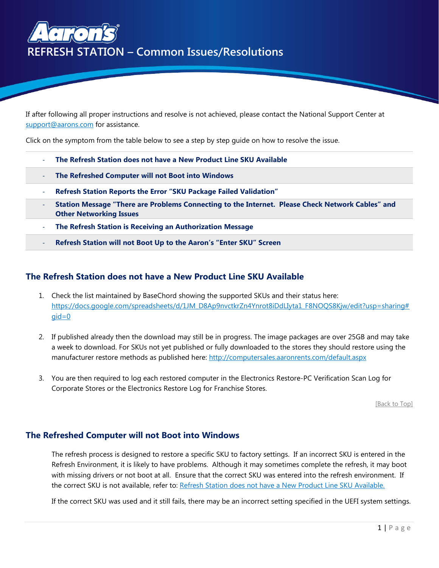<span id="page-0-2"></span>

If after following all proper instructions and resolve is not achieved, please contact the National Support Center at [support@aarons.com](mailto:support@aarons.com) for assistance.

Click on the symptom from the table below to see a step by step guide on how to resolve the issue.

- **The Refresh Station [does not have a New Product Line SKU Available](#page-0-0)**
- **[The Refreshed Computer will not Boot into Windows](#page-0-1)**
- **Refresh Station [Reports the Error "SKU Package Failed Validation"](#page-1-0)**
- **Station Message "There are Problems Connecting to the Internet. Please Check Network Cables" and Other Networking Issues**
- **[The Refresh Station is Receiving an Authorization Message](#page-3-0)**
- <span id="page-0-0"></span>- **Refresh Station will not Boot Up [to the Aaron's "Enter SKU" Screen](#page-4-0)**

### **The Refresh Station does not have a New Product Line SKU Available**

- 1. Check the list maintained by BaseChord showing the supported SKUs and their status here: [https://docs.google.com/spreadsheets/d/1JM\\_D8Ap9nvctkrZn4Ynrot8iDdLIyta1\\_F8NOQS8Kjw/edit?usp=sharing#](https://docs.google.com/spreadsheets/d/1JM_D8Ap9nvctkrZn4Ynrot8iDdLIyta1_F8NOQS8Kjw/edit?usp=sharing#gid=0)  $qid=0$
- 2. If published already then the download may still be in progress. The image packages are over 25GB and may take a week to download. For SKUs not yet published or fully downloaded to the stores they should restore using the manufacturer restore methods as published here: <http://computersales.aaronrents.com/default.aspx>
- 3. You are then required to log each restored computer in the Electronics Restore-PC Verification Scan Log for Corporate Stores or the Electronics Restore Log for Franchise Stores.

[\[Back to Top\]](#page-0-2)

### <span id="page-0-1"></span>**The Refreshed Computer will not Boot into Windows**

The refresh process is designed to restore a specific SKU to factory settings. If an incorrect SKU is entered in the Refresh Environment, it is likely to have problems. Although it may sometimes complete the refresh, it may boot with missing drivers or not boot at all. Ensure that the correct SKU was entered into the refresh environment. If the correct SKU is not available, refer to: [Refresh Station does not have](#page-0-0) a New Product Line SKU Available.

If the correct SKU was used and it still fails, there may be an incorrect setting specified in the UEFI system settings.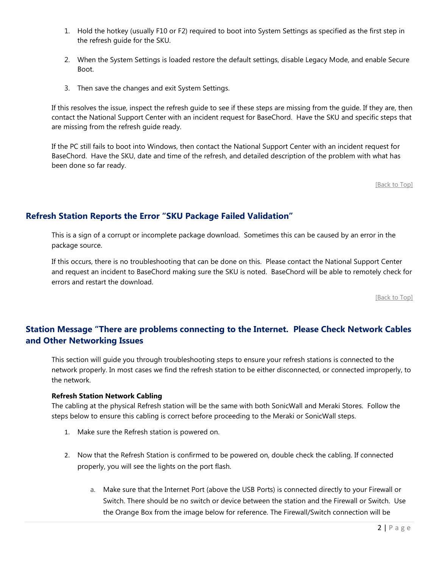- 1. Hold the hotkey (usually F10 or F2) required to boot into System Settings as specified as the first step in the refresh guide for the SKU.
- 2. When the System Settings is loaded restore the default settings, disable Legacy Mode, and enable Secure Boot.
- 3. Then save the changes and exit System Settings.

If this resolves the issue, inspect the refresh guide to see if these steps are missing from the guide. If they are, then contact the National Support Center with an incident request for BaseChord. Have the SKU and specific steps that are missing from the refresh guide ready.

If the PC still fails to boot into Windows, then contact the National Support Center with an incident request for BaseChord. Have the SKU, date and time of the refresh, and detailed description of the problem with what has been done so far ready.

[\[Back to Top\]](#page-0-2)

# <span id="page-1-0"></span>**Refresh Station Reports the Error "SKU Package Failed Validation"**

This is a sign of a corrupt or incomplete package download. Sometimes this can be caused by an error in the package source.

If this occurs, there is no troubleshooting that can be done on this. Please contact the National Support Center and request an incident to BaseChord making sure the SKU is noted. BaseChord will be able to remotely check for errors and restart the download.

[\[Back to Top\]](#page-0-2)

# **Station Message "There are problems connecting to the Internet. Please Check Network Cables and Other Networking Issues**

This section will guide you through troubleshooting steps to ensure your refresh stations is connected to the network properly. In most cases we find the refresh station to be either disconnected, or connected improperly, to the network.

#### **Refresh Station Network Cabling**

The cabling at the physical Refresh station will be the same with both SonicWall and Meraki Stores. Follow the steps below to ensure this cabling is correct before proceeding to the Meraki or SonicWall steps.

- 1. Make sure the Refresh station is powered on.
- 2. Now that the Refresh Station is confirmed to be powered on, double check the cabling. If connected properly, you will see the lights on the port flash.
	- a. Make sure that the Internet Port (above the USB Ports) is connected directly to your Firewall or Switch. There should be no switch or device between the station and the Firewall or Switch. Use the Orange Box from the image below for reference. The Firewall/Switch connection will be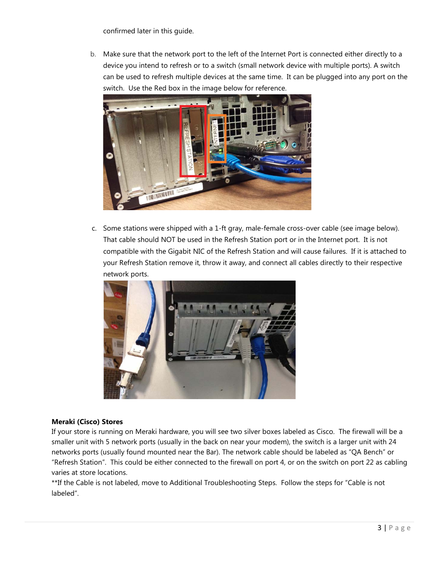confirmed later in this guide.

b. Make sure that the network port to the left of the Internet Port is connected either directly to a device you intend to refresh or to a switch (small network device with multiple ports). A switch can be used to refresh multiple devices at the same time. It can be plugged into any port on the switch. Use the Red box in the image below for reference.



c. Some stations were shipped with a 1-ft gray, male-female cross-over cable (see image below). That cable should NOT be used in the Refresh Station port or in the Internet port. It is not compatible with the Gigabit NIC of the Refresh Station and will cause failures. If it is attached to your Refresh Station remove it, throw it away, and connect all cables directly to their respective network ports.



### **Meraki (Cisco) Stores**

If your store is running on Meraki hardware, you will see two silver boxes labeled as Cisco. The firewall will be a smaller unit with 5 network ports (usually in the back on near your modem), the switch is a larger unit with 24 networks ports (usually found mounted near the Bar). The network cable should be labeled as "QA Bench" or "Refresh Station". This could be either connected to the firewall on port 4, or on the switch on port 22 as cabling varies at store locations.

\*\*If the Cable is not labeled, move to Additional Troubleshooting Steps. Follow the steps for "Cable is not labeled".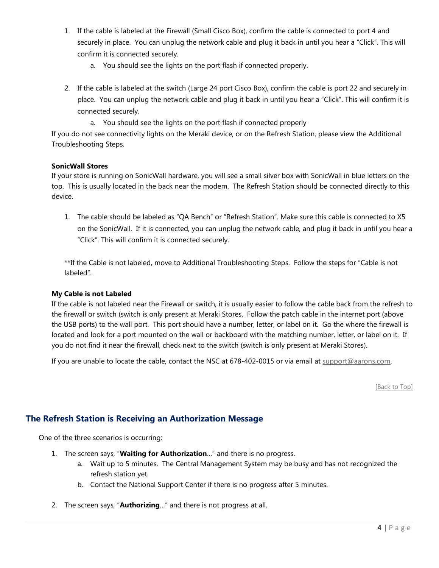- 1. If the cable is labeled at the Firewall (Small Cisco Box), confirm the cable is connected to port 4 and securely in place. You can unplug the network cable and plug it back in until you hear a "Click". This will confirm it is connected securely.
	- a. You should see the lights on the port flash if connected properly.
- 2. If the cable is labeled at the switch (Large 24 port Cisco Box), confirm the cable is port 22 and securely in place. You can unplug the network cable and plug it back in until you hear a "Click". This will confirm it is connected securely.
	- a. You should see the lights on the port flash if connected properly

If you do not see connectivity lights on the Meraki device, or on the Refresh Station, please view the Additional Troubleshooting Steps.

#### **SonicWall Stores**

If your store is running on SonicWall hardware, you will see a small silver box with SonicWall in blue letters on the top. This is usually located in the back near the modem. The Refresh Station should be connected directly to this device.

1. The cable should be labeled as "QA Bench" or "Refresh Station". Make sure this cable is connected to X5 on the SonicWall. If it is connected, you can unplug the network cable, and plug it back in until you hear a "Click". This will confirm it is connected securely.

\*\*If the Cable is not labeled, move to Additional Troubleshooting Steps. Follow the steps for "Cable is not labeled".

#### **My Cable is not Labeled**

If the cable is not labeled near the Firewall or switch, it is usually easier to follow the cable back from the refresh to the firewall or switch (switch is only present at Meraki Stores. Follow the patch cable in the internet port (above the USB ports) to the wall port. This port should have a number, letter, or label on it. Go the where the firewall is located and look for a port mounted on the wall or backboard with the matching number, letter, or label on it. If you do not find it near the firewall, check next to the switch (switch is only present at Meraki Stores).

If you are unable to locate the cable, contact the NSC at 678-402-0015 or via email at [support@aarons.com.](mailto:support@aarons.com) 

[\[Back to Top\]](#page-0-2)

# <span id="page-3-0"></span>**The Refresh Station is Receiving an Authorization Message**

One of the three scenarios is occurring:

- 1. The screen says, "**Waiting for Authorization**…" and there is no progress.
	- a. Wait up to 5 minutes. The Central Management System may be busy and has not recognized the refresh station yet.
	- b. Contact the National Support Center if there is no progress after 5 minutes.
- 2. The screen says, "**Authorizing**…" and there is not progress at all.